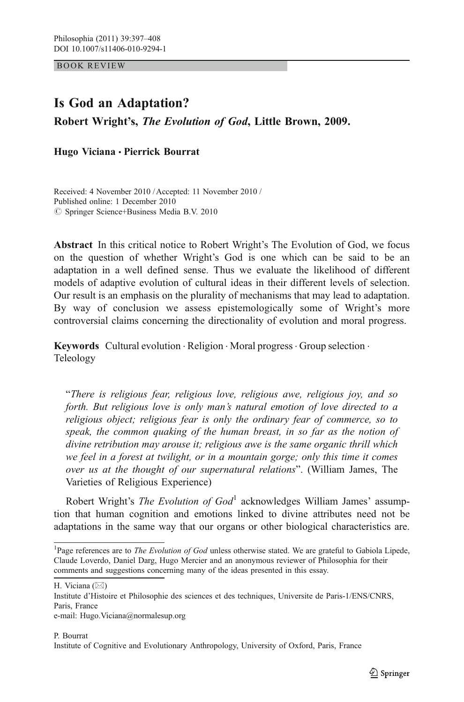BOOK REVIEW

# Is God an Adaptation?

Robert Wright's, The Evolution of God, Little Brown, 2009.

Hugo Viciana & Pierrick Bourrat

Received: 4 November 2010 / Accepted: 11 November 2010 / Published online: 1 December 2010  $\oslash$  Springer Science+Business Media B.V. 2010

Abstract In this critical notice to Robert Wright's The Evolution of God, we focus on the question of whether Wright's God is one which can be said to be an adaptation in a well defined sense. Thus we evaluate the likelihood of different models of adaptive evolution of cultural ideas in their different levels of selection. Our result is an emphasis on the plurality of mechanisms that may lead to adaptation. By way of conclusion we assess epistemologically some of Wright's more controversial claims concerning the directionality of evolution and moral progress.

Keywords Cultural evolution · Religion · Moral progress · Group selection · Teleology

"There is religious fear, religious love, religious awe, religious joy, and so forth. But religious love is only man's natural emotion of love directed to a religious object; religious fear is only the ordinary fear of commerce, so to speak, the common quaking of the human breast, in so far as the notion of divine retribution may arouse it; religious awe is the same organic thrill which we feel in a forest at twilight, or in a mountain gorge; only this time it comes over us at the thought of our supernatural relations". (William James, The Varieties of Religious Experience)

Robert Wright's *The Evolution of God*<sup>1</sup> acknowledges William James' assumption that human cognition and emotions linked to divine attributes need not be adaptations in the same way that our organs or other biological characteristics are.

H. Viciana  $(\boxtimes)$ 

e-mail: Hugo.Viciana@normalesup.org

P. Bourrat

Institute of Cognitive and Evolutionary Anthropology, University of Oxford, Paris, France

<sup>&</sup>lt;sup>1</sup>Page references are to *The Evolution of God* unless otherwise stated. We are grateful to Gabiola Lipede, Claude Loverdo, Daniel Darg, Hugo Mercier and an anonymous reviewer of Philosophia for their comments and suggestions concerning many of the ideas presented in this essay.

Institute d'Histoire et Philosophie des sciences et des techniques, Universite de Paris-1/ENS/CNRS, Paris, France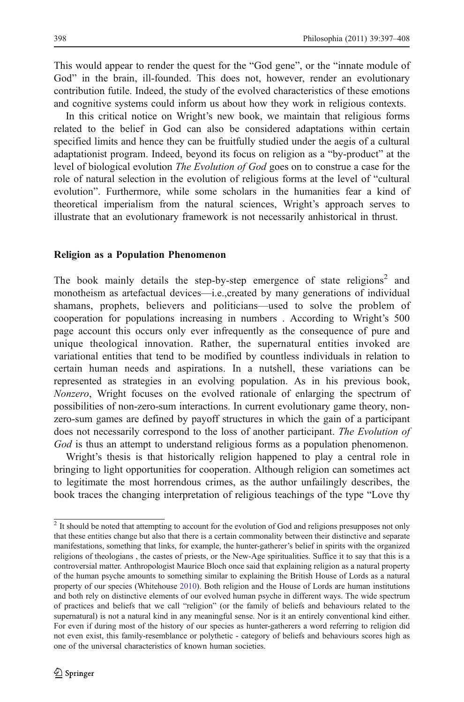This would appear to render the quest for the "God gene", or the "innate module of God" in the brain, ill-founded. This does not, however, render an evolutionary contribution futile. Indeed, the study of the evolved characteristics of these emotions and cognitive systems could inform us about how they work in religious contexts.

In this critical notice on Wright's new book, we maintain that religious forms related to the belief in God can also be considered adaptations within certain specified limits and hence they can be fruitfully studied under the aegis of a cultural adaptationist program. Indeed, beyond its focus on religion as a "by-product" at the level of biological evolution The Evolution of God goes on to construe a case for the role of natural selection in the evolution of religious forms at the level of "cultural evolution". Furthermore, while some scholars in the humanities fear a kind of theoretical imperialism from the natural sciences, Wright's approach serves to illustrate that an evolutionary framework is not necessarily anhistorical in thrust.

#### Religion as a Population Phenomenon

The book mainly details the step-by-step emergence of state religions<sup>2</sup> and monotheism as artefactual devices—i.e.,created by many generations of individual shamans, prophets, believers and politicians—used to solve the problem of cooperation for populations increasing in numbers . According to Wright's 500 page account this occurs only ever infrequently as the consequence of pure and unique theological innovation. Rather, the supernatural entities invoked are variational entities that tend to be modified by countless individuals in relation to certain human needs and aspirations. In a nutshell, these variations can be represented as strategies in an evolving population. As in his previous book, Nonzero, Wright focuses on the evolved rationale of enlarging the spectrum of possibilities of non-zero-sum interactions. In current evolutionary game theory, nonzero-sum games are defined by payoff structures in which the gain of a participant does not necessarily correspond to the loss of another participant. The Evolution of God is thus an attempt to understand religious forms as a population phenomenon.

Wright's thesis is that historically religion happened to play a central role in bringing to light opportunities for cooperation. Although religion can sometimes act to legitimate the most horrendous crimes, as the author unfailingly describes, the book traces the changing interpretation of religious teachings of the type "Love thy

<sup>&</sup>lt;sup>2</sup> It should be noted that attempting to account for the evolution of God and religions presupposes not only that these entities change but also that there is a certain commonality between their distinctive and separate manifestations, something that links, for example, the hunter-gatherer's belief in spirits with the organized religions of theologians , the castes of priests, or the New-Age spiritualities. Suffice it to say that this is a controversial matter. Anthropologist Maurice Bloch once said that explaining religion as a natural property of the human psyche amounts to something similar to explaining the British House of Lords as a natural property of our species (Whitehouse [2010](#page-11-0)). Both religion and the House of Lords are human institutions and both rely on distinctive elements of our evolved human psyche in different ways. The wide spectrum of practices and beliefs that we call "religion" (or the family of beliefs and behaviours related to the supernatural) is not a natural kind in any meaningful sense. Nor is it an entirely conventional kind either. For even if during most of the history of our species as hunter-gatherers a word referring to religion did not even exist, this family-resemblance or polythetic - category of beliefs and behaviours scores high as one of the universal characteristics of known human societies.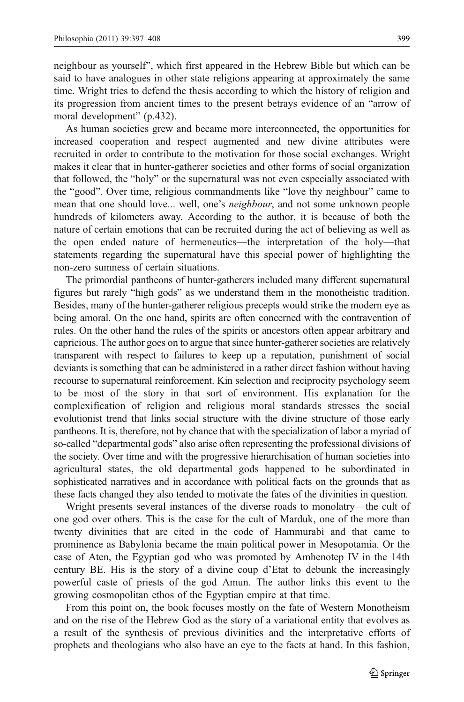neighbour as yourself", which first appeared in the Hebrew Bible but which can be said to have analogues in other state religions appearing at approximately the same time. Wright tries to defend the thesis according to which the history of religion and its progression from ancient times to the present betrays evidence of an "arrow of moral development" (p.432).

As human societies grew and became more interconnected, the opportunities for increased cooperation and respect augmented and new divine attributes were recruited in order to contribute to the motivation for those social exchanges. Wright makes it clear that in hunter-gatherer societies and other forms of social organization that followed, the "holy" or the supernatural was not even especially associated with the "good". Over time, religious commandments like "love thy neighbour" came to mean that one should love... well, one's *neighbour*, and not some unknown people hundreds of kilometers away. According to the author, it is because of both the nature of certain emotions that can be recruited during the act of believing as well as the open ended nature of hermeneutics—the interpretation of the holy—that statements regarding the supernatural have this special power of highlighting the non-zero sumness of certain situations.

The primordial pantheons of hunter-gatherers included many different supernatural figures but rarely "high gods" as we understand them in the monotheistic tradition. Besides, many of the hunter-gatherer religious precepts would strike the modern eye as being amoral. On the one hand, spirits are often concerned with the contravention of rules. On the other hand the rules of the spirits or ancestors often appear arbitrary and capricious. The author goes on to argue that since hunter-gatherer societies are relatively transparent with respect to failures to keep up a reputation, punishment of social deviants is something that can be administered in a rather direct fashion without having recourse to supernatural reinforcement. Kin selection and reciprocity psychology seem to be most of the story in that sort of environment. His explanation for the complexification of religion and religious moral standards stresses the social evolutionist trend that links social structure with the divine structure of those early pantheons. It is, therefore, not by chance that with the specialization of labor a myriad of so-called "departmental gods" also arise often representing the professional divisions of the society. Over time and with the progressive hierarchisation of human societies into agricultural states, the old departmental gods happened to be subordinated in sophisticated narratives and in accordance with political facts on the grounds that as these facts changed they also tended to motivate the fates of the divinities in question.

Wright presents several instances of the diverse roads to monolatry—the cult of one god over others. This is the case for the cult of Marduk, one of the more than twenty divinities that are cited in the code of Hammurabi and that came to prominence as Babylonia became the main political power in Mesopotamia. Or the case of Aten, the Egyptian god who was promoted by Amhenotep IV in the 14th century BE. His is the story of a divine coup d'Etat to debunk the increasingly powerful caste of priests of the god Amun. The author links this event to the growing cosmopolitan ethos of the Egyptian empire at that time.

From this point on, the book focuses mostly on the fate of Western Monotheism and on the rise of the Hebrew God as the story of a variational entity that evolves as a result of the synthesis of previous divinities and the interpretative efforts of prophets and theologians who also have an eye to the facts at hand. In this fashion,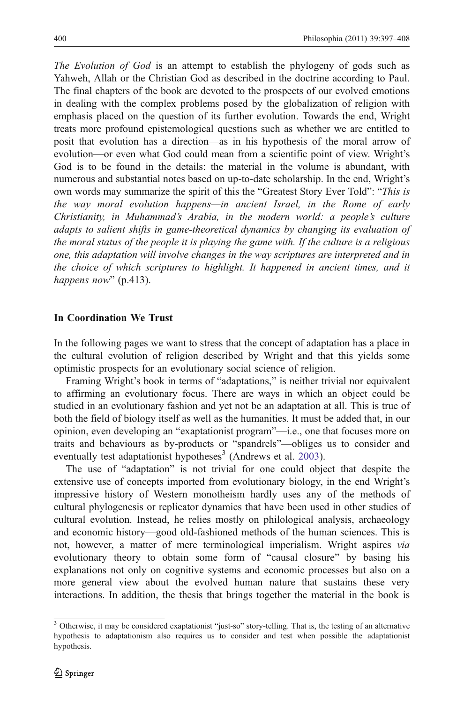The Evolution of God is an attempt to establish the phylogeny of gods such as Yahweh, Allah or the Christian God as described in the doctrine according to Paul. The final chapters of the book are devoted to the prospects of our evolved emotions in dealing with the complex problems posed by the globalization of religion with emphasis placed on the question of its further evolution. Towards the end, Wright treats more profound epistemological questions such as whether we are entitled to posit that evolution has a direction—as in his hypothesis of the moral arrow of evolution—or even what God could mean from a scientific point of view. Wright's God is to be found in the details: the material in the volume is abundant, with numerous and substantial notes based on up-to-date scholarship. In the end, Wright's own words may summarize the spirit of this the "Greatest Story Ever Told": "This is the way moral evolution happens—in ancient Israel, in the Rome of early Christianity, in Muhammad's Arabia, in the modern world: a people's culture adapts to salient shifts in game-theoretical dynamics by changing its evaluation of the moral status of the people it is playing the game with. If the culture is a religious one, this adaptation will involve changes in the way scriptures are interpreted and in the choice of which scriptures to highlight. It happened in ancient times, and it happens now" (p.413).

## In Coordination We Trust

In the following pages we want to stress that the concept of adaptation has a place in the cultural evolution of religion described by Wright and that this yields some optimistic prospects for an evolutionary social science of religion.

Framing Wright's book in terms of "adaptations," is neither trivial nor equivalent to affirming an evolutionary focus. There are ways in which an object could be studied in an evolutionary fashion and yet not be an adaptation at all. This is true of both the field of biology itself as well as the humanities. It must be added that, in our opinion, even developing an "exaptationist program"—i.e., one that focuses more on traits and behaviours as by-products or "spandrels"—obliges us to consider and eventually test adaptationist hypotheses<sup>3</sup> (Andrews et al. [2003\)](#page-11-0).

The use of "adaptation" is not trivial for one could object that despite the extensive use of concepts imported from evolutionary biology, in the end Wright's impressive history of Western monotheism hardly uses any of the methods of cultural phylogenesis or replicator dynamics that have been used in other studies of cultural evolution. Instead, he relies mostly on philological analysis, archaeology and economic history—good old-fashioned methods of the human sciences. This is not, however, a matter of mere terminological imperialism. Wright aspires via evolutionary theory to obtain some form of "causal closure" by basing his explanations not only on cognitive systems and economic processes but also on a more general view about the evolved human nature that sustains these very interactions. In addition, the thesis that brings together the material in the book is

 $\frac{3}{3}$  Otherwise, it may be considered exaptationist "just-so" story-telling. That is, the testing of an alternative hypothesis to adaptationism also requires us to consider and test when possible the adaptationist hypothesis.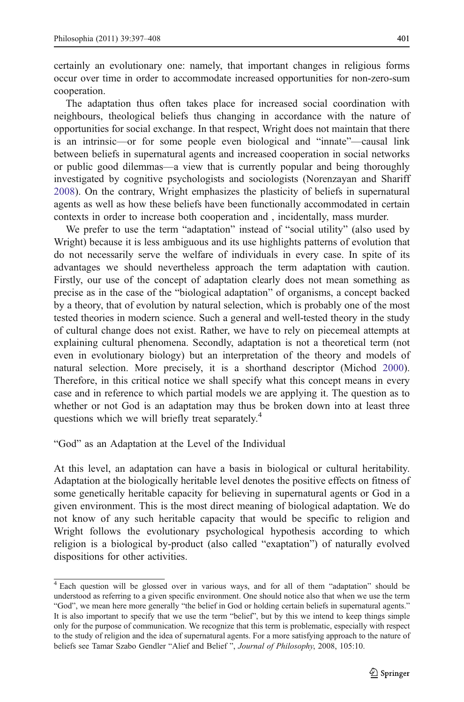certainly an evolutionary one: namely, that important changes in religious forms occur over time in order to accommodate increased opportunities for non-zero-sum cooperation.

The adaptation thus often takes place for increased social coordination with neighbours, theological beliefs thus changing in accordance with the nature of opportunities for social exchange. In that respect, Wright does not maintain that there is an intrinsic—or for some people even biological and "innate"—causal link between beliefs in supernatural agents and increased cooperation in social networks or public good dilemmas—a view that is currently popular and being thoroughly investigated by cognitive psychologists and sociologists (Norenzayan and Shariff [2008\)](#page-11-0). On the contrary, Wright emphasizes the plasticity of beliefs in supernatural agents as well as how these beliefs have been functionally accommodated in certain contexts in order to increase both cooperation and , incidentally, mass murder.

We prefer to use the term "adaptation" instead of "social utility" (also used by Wright) because it is less ambiguous and its use highlights patterns of evolution that do not necessarily serve the welfare of individuals in every case. In spite of its advantages we should nevertheless approach the term adaptation with caution. Firstly, our use of the concept of adaptation clearly does not mean something as precise as in the case of the "biological adaptation" of organisms, a concept backed by a theory, that of evolution by natural selection, which is probably one of the most tested theories in modern science. Such a general and well-tested theory in the study of cultural change does not exist. Rather, we have to rely on piecemeal attempts at explaining cultural phenomena. Secondly, adaptation is not a theoretical term (not even in evolutionary biology) but an interpretation of the theory and models of natural selection. More precisely, it is a shorthand descriptor (Michod [2000\)](#page-11-0). Therefore, in this critical notice we shall specify what this concept means in every case and in reference to which partial models we are applying it. The question as to whether or not God is an adaptation may thus be broken down into at least three questions which we will briefly treat separately.<sup>4</sup>

"God" as an Adaptation at the Level of the Individual

At this level, an adaptation can have a basis in biological or cultural heritability. Adaptation at the biologically heritable level denotes the positive effects on fitness of some genetically heritable capacity for believing in supernatural agents or God in a given environment. This is the most direct meaning of biological adaptation. We do not know of any such heritable capacity that would be specific to religion and Wright follows the evolutionary psychological hypothesis according to which religion is a biological by-product (also called "exaptation") of naturally evolved dispositions for other activities.

<sup>4</sup> Each question will be glossed over in various ways, and for all of them "adaptation" should be understood as referring to a given specific environment. One should notice also that when we use the term "God", we mean here more generally "the belief in God or holding certain beliefs in supernatural agents." It is also important to specify that we use the term "belief", but by this we intend to keep things simple only for the purpose of communication. We recognize that this term is problematic, especially with respect to the study of religion and the idea of supernatural agents. For a more satisfying approach to the nature of beliefs see Tamar Szabo Gendler "Alief and Belief ", Journal of Philosophy, 2008, 105:10.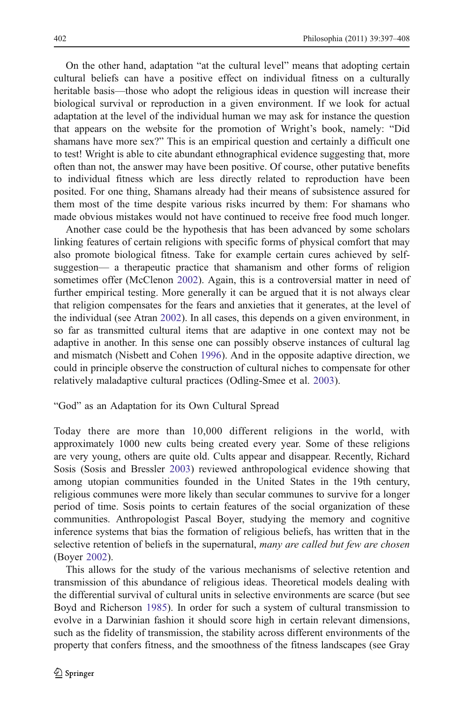On the other hand, adaptation "at the cultural level" means that adopting certain cultural beliefs can have a positive effect on individual fitness on a culturally heritable basis—those who adopt the religious ideas in question will increase their biological survival or reproduction in a given environment. If we look for actual adaptation at the level of the individual human we may ask for instance the question that appears on the website for the promotion of Wright's book, namely: "Did shamans have more sex?" This is an empirical question and certainly a difficult one to test! Wright is able to cite abundant ethnographical evidence suggesting that, more often than not, the answer may have been positive. Of course, other putative benefits to individual fitness which are less directly related to reproduction have been posited. For one thing, Shamans already had their means of subsistence assured for them most of the time despite various risks incurred by them: For shamans who made obvious mistakes would not have continued to receive free food much longer.

Another case could be the hypothesis that has been advanced by some scholars linking features of certain religions with specific forms of physical comfort that may also promote biological fitness. Take for example certain cures achieved by selfsuggestion— a therapeutic practice that shamanism and other forms of religion sometimes offer (McClenon [2002\)](#page-11-0). Again, this is a controversial matter in need of further empirical testing. More generally it can be argued that it is not always clear that religion compensates for the fears and anxieties that it generates, at the level of the individual (see Atran [2002\)](#page-11-0). In all cases, this depends on a given environment, in so far as transmitted cultural items that are adaptive in one context may not be adaptive in another. In this sense one can possibly observe instances of cultural lag and mismatch (Nisbett and Cohen [1996\)](#page-11-0). And in the opposite adaptive direction, we could in principle observe the construction of cultural niches to compensate for other relatively maladaptive cultural practices (Odling-Smee et al. [2003\)](#page-11-0).

#### "God" as an Adaptation for its Own Cultural Spread

Today there are more than 10,000 different religions in the world, with approximately 1000 new cults being created every year. Some of these religions are very young, others are quite old. Cults appear and disappear. Recently, Richard Sosis (Sosis and Bressler [2003\)](#page-11-0) reviewed anthropological evidence showing that among utopian communities founded in the United States in the 19th century, religious communes were more likely than secular communes to survive for a longer period of time. Sosis points to certain features of the social organization of these communities. Anthropologist Pascal Boyer, studying the memory and cognitive inference systems that bias the formation of religious beliefs, has written that in the selective retention of beliefs in the supernatural, many are called but few are chosen (Boyer [2002\)](#page-11-0).

This allows for the study of the various mechanisms of selective retention and transmission of this abundance of religious ideas. Theoretical models dealing with the differential survival of cultural units in selective environments are scarce (but see Boyd and Richerson [1985](#page-11-0)). In order for such a system of cultural transmission to evolve in a Darwinian fashion it should score high in certain relevant dimensions, such as the fidelity of transmission, the stability across different environments of the property that confers fitness, and the smoothness of the fitness landscapes (see Gray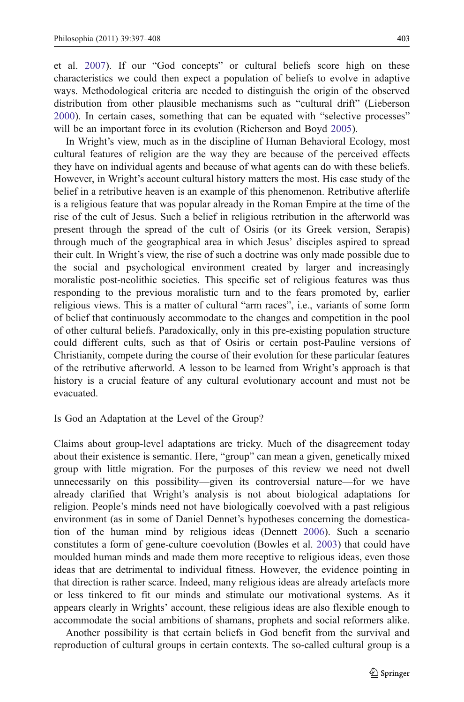et al. [2007](#page-11-0)). If our "God concepts" or cultural beliefs score high on these characteristics we could then expect a population of beliefs to evolve in adaptive ways. Methodological criteria are needed to distinguish the origin of the observed distribution from other plausible mechanisms such as "cultural drift" (Lieberson [2000\)](#page-11-0). In certain cases, something that can be equated with "selective processes" will be an important force in its evolution (Richerson and Boyd [2005](#page-11-0)).

In Wright's view, much as in the discipline of Human Behavioral Ecology, most cultural features of religion are the way they are because of the perceived effects they have on individual agents and because of what agents can do with these beliefs. However, in Wright's account cultural history matters the most. His case study of the belief in a retributive heaven is an example of this phenomenon. Retributive afterlife is a religious feature that was popular already in the Roman Empire at the time of the rise of the cult of Jesus. Such a belief in religious retribution in the afterworld was present through the spread of the cult of Osiris (or its Greek version, Serapis) through much of the geographical area in which Jesus' disciples aspired to spread their cult. In Wright's view, the rise of such a doctrine was only made possible due to the social and psychological environment created by larger and increasingly moralistic post-neolithic societies. This specific set of religious features was thus responding to the previous moralistic turn and to the fears promoted by, earlier religious views. This is a matter of cultural "arm races", i.e., variants of some form of belief that continuously accommodate to the changes and competition in the pool of other cultural beliefs. Paradoxically, only in this pre-existing population structure could different cults, such as that of Osiris or certain post-Pauline versions of Christianity, compete during the course of their evolution for these particular features of the retributive afterworld. A lesson to be learned from Wright's approach is that history is a crucial feature of any cultural evolutionary account and must not be evacuated.

#### Is God an Adaptation at the Level of the Group?

Claims about group-level adaptations are tricky. Much of the disagreement today about their existence is semantic. Here, "group" can mean a given, genetically mixed group with little migration. For the purposes of this review we need not dwell unnecessarily on this possibility—given its controversial nature—for we have already clarified that Wright's analysis is not about biological adaptations for religion. People's minds need not have biologically coevolved with a past religious environment (as in some of Daniel Dennet's hypotheses concerning the domestication of the human mind by religious ideas (Dennett [2006\)](#page-11-0). Such a scenario constitutes a form of gene-culture coevolution (Bowles et al. [2003\)](#page-11-0) that could have moulded human minds and made them more receptive to religious ideas, even those ideas that are detrimental to individual fitness. However, the evidence pointing in that direction is rather scarce. Indeed, many religious ideas are already artefacts more or less tinkered to fit our minds and stimulate our motivational systems. As it appears clearly in Wrights' account, these religious ideas are also flexible enough to accommodate the social ambitions of shamans, prophets and social reformers alike.

Another possibility is that certain beliefs in God benefit from the survival and reproduction of cultural groups in certain contexts. The so-called cultural group is a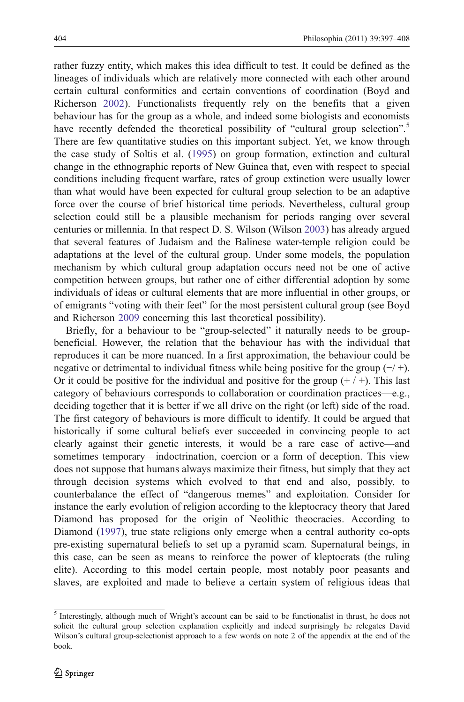rather fuzzy entity, which makes this idea difficult to test. It could be defined as the lineages of individuals which are relatively more connected with each other around certain cultural conformities and certain conventions of coordination (Boyd and Richerson [2002\)](#page-11-0). Functionalists frequently rely on the benefits that a given behaviour has for the group as a whole, and indeed some biologists and economists have recently defended the theoretical possibility of "cultural group selection".<sup>5</sup> There are few quantitative studies on this important subject. Yet, we know through the case study of Soltis et al. [\(1995](#page-11-0)) on group formation, extinction and cultural change in the ethnographic reports of New Guinea that, even with respect to special conditions including frequent warfare, rates of group extinction were usually lower than what would have been expected for cultural group selection to be an adaptive force over the course of brief historical time periods. Nevertheless, cultural group selection could still be a plausible mechanism for periods ranging over several centuries or millennia. In that respect D. S. Wilson (Wilson [2003](#page-11-0)) has already argued that several features of Judaism and the Balinese water-temple religion could be adaptations at the level of the cultural group. Under some models, the population mechanism by which cultural group adaptation occurs need not be one of active competition between groups, but rather one of either differential adoption by some individuals of ideas or cultural elements that are more influential in other groups, or of emigrants "voting with their feet" for the most persistent cultural group (see Boyd and Richerson [2009](#page-11-0) concerning this last theoretical possibility).

Briefly, for a behaviour to be "group-selected" it naturally needs to be groupbeneficial. However, the relation that the behaviour has with the individual that reproduces it can be more nuanced. In a first approximation, the behaviour could be negative or detrimental to individual fitness while being positive for the group  $(-/ +)$ . Or it could be positive for the individual and positive for the group  $(+/+)$ . This last category of behaviours corresponds to collaboration or coordination practices—e.g., deciding together that it is better if we all drive on the right (or left) side of the road. The first category of behaviours is more difficult to identify. It could be argued that historically if some cultural beliefs ever succeeded in convincing people to act clearly against their genetic interests, it would be a rare case of active—and sometimes temporary—indoctrination, coercion or a form of deception. This view does not suppose that humans always maximize their fitness, but simply that they act through decision systems which evolved to that end and also, possibly, to counterbalance the effect of "dangerous memes" and exploitation. Consider for instance the early evolution of religion according to the kleptocracy theory that Jared Diamond has proposed for the origin of Neolithic theocracies. According to Diamond ([1997\)](#page-11-0), true state religions only emerge when a central authority co-opts pre-existing supernatural beliefs to set up a pyramid scam. Supernatural beings, in this case, can be seen as means to reinforce the power of kleptocrats (the ruling elite). According to this model certain people, most notably poor peasants and slaves, are exploited and made to believe a certain system of religious ideas that

<sup>5</sup> Interestingly, although much of Wright's account can be said to be functionalist in thrust, he does not solicit the cultural group selection explanation explicitly and indeed surprisingly he relegates David Wilson's cultural group-selectionist approach to a few words on note 2 of the appendix at the end of the book.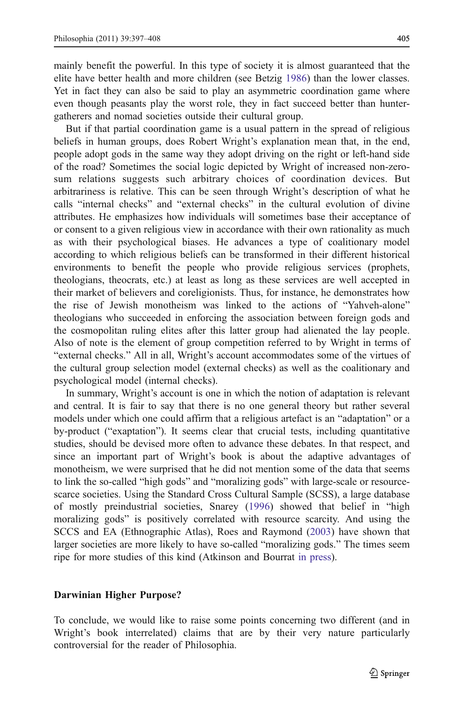mainly benefit the powerful. In this type of society it is almost guaranteed that the elite have better health and more children (see Betzig [1986\)](#page-11-0) than the lower classes. Yet in fact they can also be said to play an asymmetric coordination game where even though peasants play the worst role, they in fact succeed better than huntergatherers and nomad societies outside their cultural group.

But if that partial coordination game is a usual pattern in the spread of religious beliefs in human groups, does Robert Wright's explanation mean that, in the end, people adopt gods in the same way they adopt driving on the right or left-hand side of the road? Sometimes the social logic depicted by Wright of increased non-zerosum relations suggests such arbitrary choices of coordination devices. But arbitrariness is relative. This can be seen through Wright's description of what he calls "internal checks" and "external checks" in the cultural evolution of divine attributes. He emphasizes how individuals will sometimes base their acceptance of or consent to a given religious view in accordance with their own rationality as much as with their psychological biases. He advances a type of coalitionary model according to which religious beliefs can be transformed in their different historical environments to benefit the people who provide religious services (prophets, theologians, theocrats, etc.) at least as long as these services are well accepted in their market of believers and coreligionists. Thus, for instance, he demonstrates how the rise of Jewish monotheism was linked to the actions of "Yahveh-alone" theologians who succeeded in enforcing the association between foreign gods and the cosmopolitan ruling elites after this latter group had alienated the lay people. Also of note is the element of group competition referred to by Wright in terms of "external checks." All in all, Wright's account accommodates some of the virtues of the cultural group selection model (external checks) as well as the coalitionary and psychological model (internal checks).

In summary, Wright's account is one in which the notion of adaptation is relevant and central. It is fair to say that there is no one general theory but rather several models under which one could affirm that a religious artefact is an "adaptation" or a by-product ("exaptation"). It seems clear that crucial tests, including quantitative studies, should be devised more often to advance these debates. In that respect, and since an important part of Wright's book is about the adaptive advantages of monotheism, we were surprised that he did not mention some of the data that seems to link the so-called "high gods" and "moralizing gods" with large-scale or resourcescarce societies. Using the Standard Cross Cultural Sample (SCSS), a large database of mostly preindustrial societies, Snarey ([1996\)](#page-11-0) showed that belief in "high moralizing gods" is positively correlated with resource scarcity. And using the SCCS and EA (Ethnographic Atlas), Roes and Raymond ([2003\)](#page-11-0) have shown that larger societies are more likely to have so-called "moralizing gods." The times seem ripe for more studies of this kind (Atkinson and Bourrat [in press\)](#page-11-0).

## Darwinian Higher Purpose?

To conclude, we would like to raise some points concerning two different (and in Wright's book interrelated) claims that are by their very nature particularly controversial for the reader of Philosophia.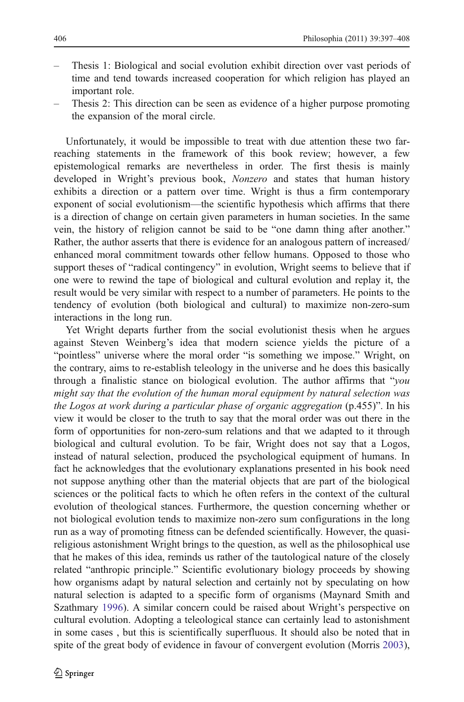- Thesis 1: Biological and social evolution exhibit direction over vast periods of time and tend towards increased cooperation for which religion has played an important role.
- Thesis 2: This direction can be seen as evidence of a higher purpose promoting the expansion of the moral circle.

Unfortunately, it would be impossible to treat with due attention these two farreaching statements in the framework of this book review; however, a few epistemological remarks are nevertheless in order. The first thesis is mainly developed in Wright's previous book, Nonzero and states that human history exhibits a direction or a pattern over time. Wright is thus a firm contemporary exponent of social evolutionism—the scientific hypothesis which affirms that there is a direction of change on certain given parameters in human societies. In the same vein, the history of religion cannot be said to be "one damn thing after another." Rather, the author asserts that there is evidence for an analogous pattern of increased/ enhanced moral commitment towards other fellow humans. Opposed to those who support theses of "radical contingency" in evolution, Wright seems to believe that if one were to rewind the tape of biological and cultural evolution and replay it, the result would be very similar with respect to a number of parameters. He points to the tendency of evolution (both biological and cultural) to maximize non-zero-sum interactions in the long run.

Yet Wright departs further from the social evolutionist thesis when he argues against Steven Weinberg's idea that modern science yields the picture of a "pointless" universe where the moral order "is something we impose." Wright, on the contrary, aims to re-establish teleology in the universe and he does this basically through a finalistic stance on biological evolution. The author affirms that "you might say that the evolution of the human moral equipment by natural selection was the Logos at work during a particular phase of organic aggregation (p.455)". In his view it would be closer to the truth to say that the moral order was out there in the form of opportunities for non-zero-sum relations and that we adapted to it through biological and cultural evolution. To be fair, Wright does not say that a Logos, instead of natural selection, produced the psychological equipment of humans. In fact he acknowledges that the evolutionary explanations presented in his book need not suppose anything other than the material objects that are part of the biological sciences or the political facts to which he often refers in the context of the cultural evolution of theological stances. Furthermore, the question concerning whether or not biological evolution tends to maximize non-zero sum configurations in the long run as a way of promoting fitness can be defended scientifically. However, the quasireligious astonishment Wright brings to the question, as well as the philosophical use that he makes of this idea, reminds us rather of the tautological nature of the closely related "anthropic principle." Scientific evolutionary biology proceeds by showing how organisms adapt by natural selection and certainly not by speculating on how natural selection is adapted to a specific form of organisms (Maynard Smith and Szathmary [1996\)](#page-11-0). A similar concern could be raised about Wright's perspective on cultural evolution. Adopting a teleological stance can certainly lead to astonishment in some cases , but this is scientifically superfluous. It should also be noted that in spite of the great body of evidence in favour of convergent evolution (Morris [2003\)](#page-11-0),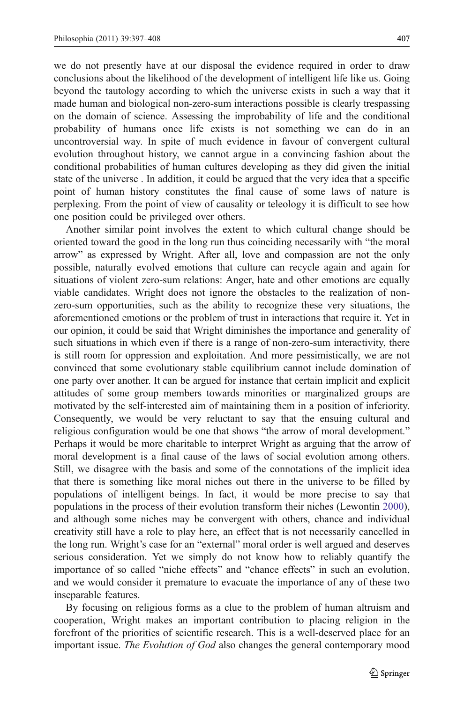we do not presently have at our disposal the evidence required in order to draw conclusions about the likelihood of the development of intelligent life like us. Going beyond the tautology according to which the universe exists in such a way that it made human and biological non-zero-sum interactions possible is clearly trespassing on the domain of science. Assessing the improbability of life and the conditional probability of humans once life exists is not something we can do in an uncontroversial way. In spite of much evidence in favour of convergent cultural evolution throughout history, we cannot argue in a convincing fashion about the conditional probabilities of human cultures developing as they did given the initial state of the universe . In addition, it could be argued that the very idea that a specific point of human history constitutes the final cause of some laws of nature is perplexing. From the point of view of causality or teleology it is difficult to see how one position could be privileged over others.

Another similar point involves the extent to which cultural change should be oriented toward the good in the long run thus coinciding necessarily with "the moral arrow" as expressed by Wright. After all, love and compassion are not the only possible, naturally evolved emotions that culture can recycle again and again for situations of violent zero-sum relations: Anger, hate and other emotions are equally viable candidates. Wright does not ignore the obstacles to the realization of nonzero-sum opportunities, such as the ability to recognize these very situations, the aforementioned emotions or the problem of trust in interactions that require it. Yet in our opinion, it could be said that Wright diminishes the importance and generality of such situations in which even if there is a range of non-zero-sum interactivity, there is still room for oppression and exploitation. And more pessimistically, we are not convinced that some evolutionary stable equilibrium cannot include domination of one party over another. It can be argued for instance that certain implicit and explicit attitudes of some group members towards minorities or marginalized groups are motivated by the self-interested aim of maintaining them in a position of inferiority. Consequently, we would be very reluctant to say that the ensuing cultural and religious configuration would be one that shows "the arrow of moral development." Perhaps it would be more charitable to interpret Wright as arguing that the arrow of moral development is a final cause of the laws of social evolution among others. Still, we disagree with the basis and some of the connotations of the implicit idea that there is something like moral niches out there in the universe to be filled by populations of intelligent beings. In fact, it would be more precise to say that populations in the process of their evolution transform their niches (Lewontin [2000\)](#page-11-0), and although some niches may be convergent with others, chance and individual creativity still have a role to play here, an effect that is not necessarily cancelled in the long run. Wright's case for an "external" moral order is well argued and deserves serious consideration. Yet we simply do not know how to reliably quantify the importance of so called "niche effects" and "chance effects" in such an evolution, and we would consider it premature to evacuate the importance of any of these two inseparable features.

By focusing on religious forms as a clue to the problem of human altruism and cooperation, Wright makes an important contribution to placing religion in the forefront of the priorities of scientific research. This is a well-deserved place for an important issue. The Evolution of God also changes the general contemporary mood